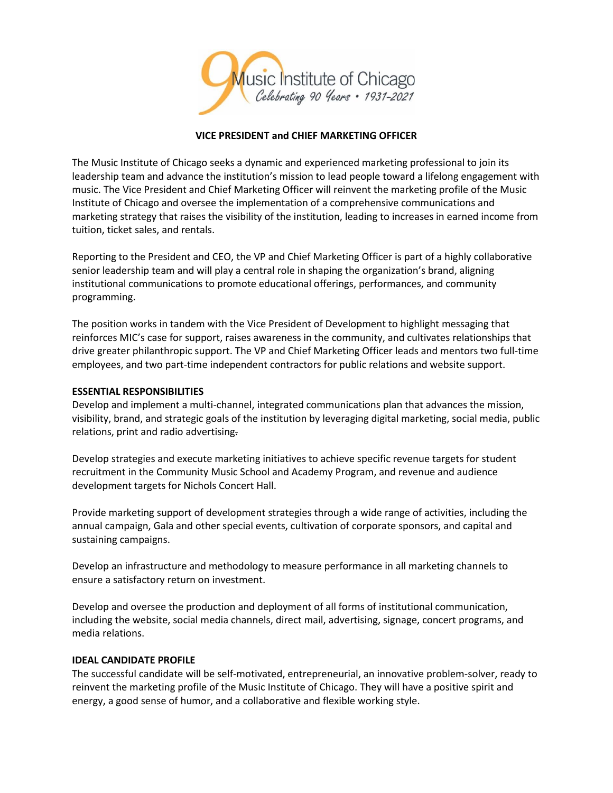

## **VICE PRESIDENT and CHIEF MARKETING OFFICER**

The Music Institute of Chicago seeks a dynamic and experienced marketing professional to join its leadership team and advance the institution's mission to lead people toward a lifelong engagement with music. The Vice President and Chief Marketing Officer will reinvent the marketing profile of the Music Institute of Chicago and oversee the implementation of a comprehensive communications and marketing strategy that raises the visibility of the institution, leading to increases in earned income from tuition, ticket sales, and rentals.

Reporting to the President and CEO, the VP and Chief Marketing Officer is part of a highly collaborative senior leadership team and will play a central role in shaping the organization's brand, aligning institutional communications to promote educational offerings, performances, and community programming.

The position works in tandem with the Vice President of Development to highlight messaging that reinforces MIC's case for support, raises awareness in the community, and cultivates relationships that drive greater philanthropic support. The VP and Chief Marketing Officer leads and mentors two full-time employees, and two part-time independent contractors for public relations and website support.

#### **ESSENTIAL RESPONSIBILITIES**

Develop and implement a multi-channel, integrated communications plan that advances the mission, visibility, brand, and strategic goals of the institution by leveraging digital marketing, social media, public relations, print and radio advertising.

Develop strategies and execute marketing initiatives to achieve specific revenue targets for student recruitment in the Community Music School and Academy Program, and revenue and audience development targets for Nichols Concert Hall.

Provide marketing support of development strategies through a wide range of activities, including the annual campaign, Gala and other special events, cultivation of corporate sponsors, and capital and sustaining campaigns.

Develop an infrastructure and methodology to measure performance in all marketing channels to ensure a satisfactory return on investment.

Develop and oversee the production and deployment of all forms of institutional communication, including the website, social media channels, direct mail, advertising, signage, concert programs, and media relations.

## **IDEAL CANDIDATE PROFILE**

The successful candidate will be self-motivated, entrepreneurial, an innovative problem-solver, ready to reinvent the marketing profile of the Music Institute of Chicago. They will have a positive spirit and energy, a good sense of humor, and a collaborative and flexible working style.